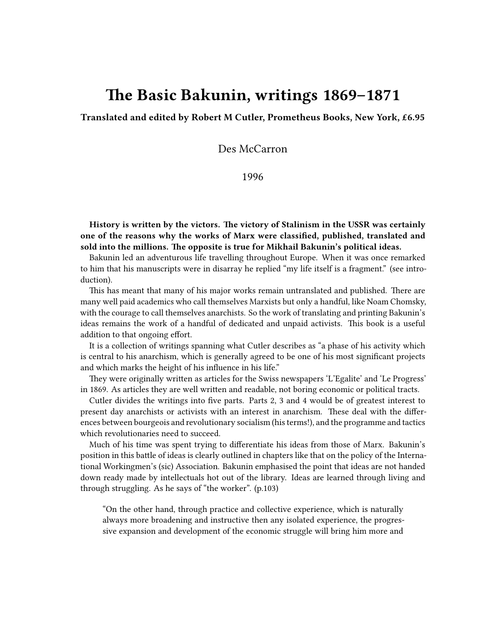## **The Basic Bakunin, writings 1869–1871**

**Translated and edited by Robert M Cutler, Prometheus Books, New York, £6.95**

Des McCarron

1996

**History is written by the victors. The victory of Stalinism in the USSR was certainly one of the reasons why the works of Marx were classified, published, translated and sold into the millions. The opposite is true for Mikhail Bakunin's political ideas.**

Bakunin led an adventurous life travelling throughout Europe. When it was once remarked to him that his manuscripts were in disarray he replied "my life itself is a fragment." (see introduction).

This has meant that many of his major works remain untranslated and published. There are many well paid academics who call themselves Marxists but only a handful, like Noam Chomsky, with the courage to call themselves anarchists. So the work of translating and printing Bakunin's ideas remains the work of a handful of dedicated and unpaid activists. This book is a useful addition to that ongoing effort.

It is a collection of writings spanning what Cutler describes as "a phase of his activity which is central to his anarchism, which is generally agreed to be one of his most significant projects and which marks the height of his influence in his life."

They were originally written as articles for the Swiss newspapers 'L'Egalite' and 'Le Progress' in 1869. As articles they are well written and readable, not boring economic or political tracts.

Cutler divides the writings into five parts. Parts 2, 3 and 4 would be of greatest interest to present day anarchists or activists with an interest in anarchism. These deal with the differences between bourgeois and revolutionary socialism (his terms!), and the programme and tactics which revolutionaries need to succeed.

Much of his time was spent trying to differentiate his ideas from those of Marx. Bakunin's position in this battle of ideas is clearly outlined in chapters like that on the policy of the International Workingmen's (sic) Association. Bakunin emphasised the point that ideas are not handed down ready made by intellectuals hot out of the library. Ideas are learned through living and through struggling. As he says of "the worker". (p.103)

"On the other hand, through practice and collective experience, which is naturally always more broadening and instructive then any isolated experience, the progressive expansion and development of the economic struggle will bring him more and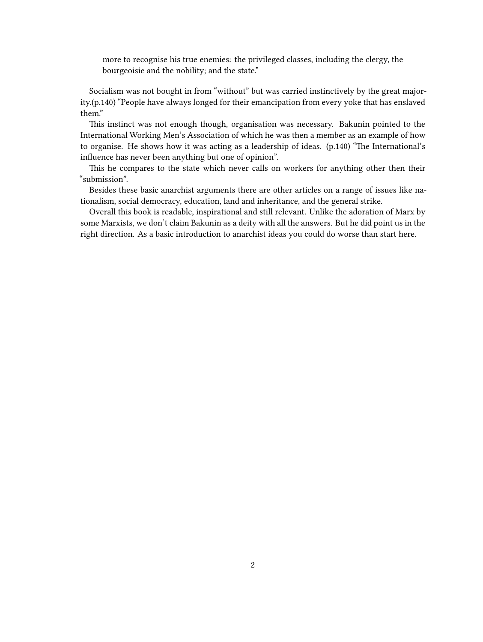more to recognise his true enemies: the privileged classes, including the clergy, the bourgeoisie and the nobility; and the state."

Socialism was not bought in from "without" but was carried instinctively by the great majority.(p.140) "People have always longed for their emancipation from every yoke that has enslaved them."

This instinct was not enough though, organisation was necessary. Bakunin pointed to the International Working Men's Association of which he was then a member as an example of how to organise. He shows how it was acting as a leadership of ideas. (p.140) "The International's influence has never been anything but one of opinion".

This he compares to the state which never calls on workers for anything other then their "submission".

Besides these basic anarchist arguments there are other articles on a range of issues like nationalism, social democracy, education, land and inheritance, and the general strike.

Overall this book is readable, inspirational and still relevant. Unlike the adoration of Marx by some Marxists, we don't claim Bakunin as a deity with all the answers. But he did point us in the right direction. As a basic introduction to anarchist ideas you could do worse than start here.